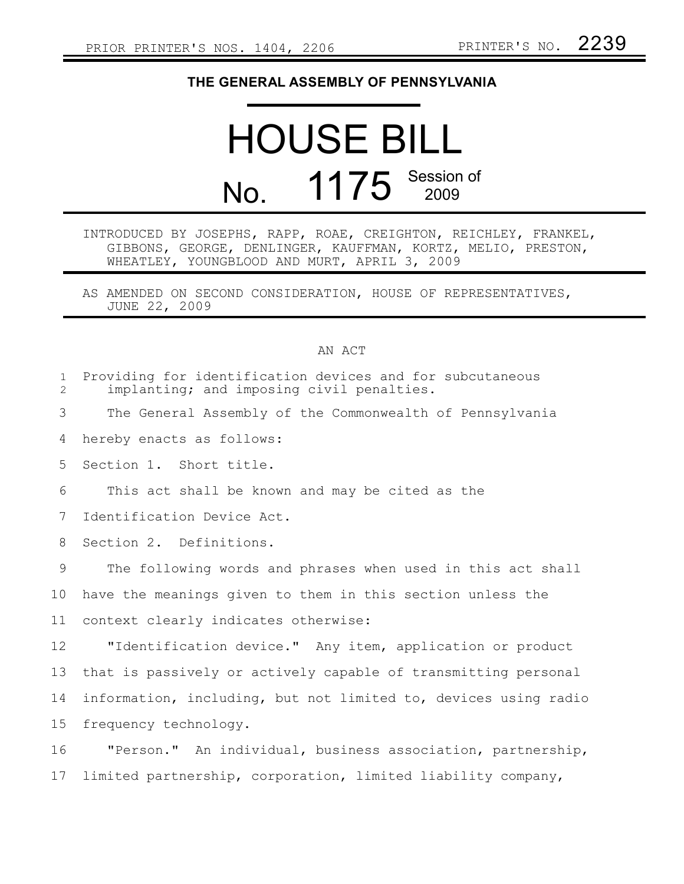## **THE GENERAL ASSEMBLY OF PENNSYLVANIA**

## HOUSE BILL No. 1175 Session of

## INTRODUCED BY JOSEPHS, RAPP, ROAE, CREIGHTON, REICHLEY, FRANKEL, GIBBONS, GEORGE, DENLINGER, KAUFFMAN, KORTZ, MELIO, PRESTON, WHEATLEY, YOUNGBLOOD AND MURT, APRIL 3, 2009

AS AMENDED ON SECOND CONSIDERATION, HOUSE OF REPRESENTATIVES, JUNE 22, 2009

## AN ACT

| $\mathbf{1}$<br>$\overline{2}$ | Providing for identification devices and for subcutaneous<br>implanting; and imposing civil penalties. |
|--------------------------------|--------------------------------------------------------------------------------------------------------|
| 3                              | The General Assembly of the Commonwealth of Pennsylvania                                               |
| 4                              | hereby enacts as follows:                                                                              |
| 5                              | Section 1. Short title.                                                                                |
| 6                              | This act shall be known and may be cited as the                                                        |
| 7                              | Identification Device Act.                                                                             |
| 8                              | Section 2. Definitions.                                                                                |
| 9                              | The following words and phrases when used in this act shall                                            |
| 10                             | have the meanings given to them in this section unless the                                             |
| 11                             | context clearly indicates otherwise:                                                                   |
| 12 <sup>°</sup>                | "Identification device." Any item, application or product                                              |
| 13                             | that is passively or actively capable of transmitting personal                                         |
| 14                             | information, including, but not limited to, devices using radio                                        |
| 15                             | frequency technology.                                                                                  |
| 16                             | "Person." An individual, business association, partnership,                                            |
| 17                             | limited partnership, corporation, limited liability company,                                           |
|                                |                                                                                                        |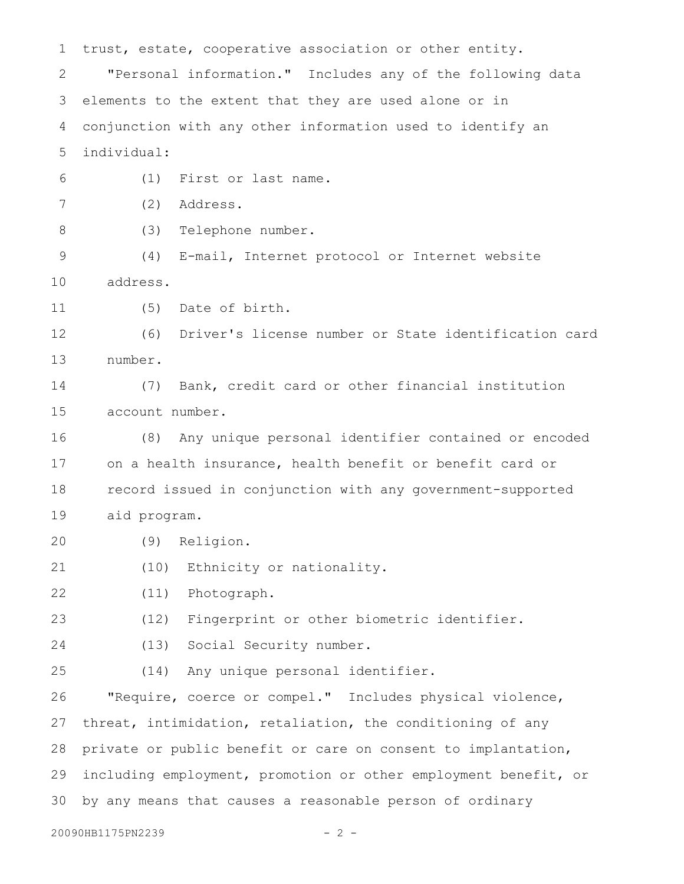trust, estate, cooperative association or other entity. "Personal information." Includes any of the following data elements to the extent that they are used alone or in conjunction with any other information used to identify an individual: (1) First or last name. (2) Address. (3) Telephone number. (4) E-mail, Internet protocol or Internet website address. (5) Date of birth. (6) Driver's license number or State identification card number. (7) Bank, credit card or other financial institution account number. (8) Any unique personal identifier contained or encoded on a health insurance, health benefit or benefit card or record issued in conjunction with any government-supported aid program. (9) Religion. (10) Ethnicity or nationality. (11) Photograph. (12) Fingerprint or other biometric identifier. (13) Social Security number. (14) Any unique personal identifier. "Require, coerce or compel." Includes physical violence, threat, intimidation, retaliation, the conditioning of any private or public benefit or care on consent to implantation, including employment, promotion or other employment benefit, or by any means that causes a reasonable person of ordinary 1 2 3 4 5 6 7 8 9 10 11 12 13 14 15 16 17 18 19 20 21 22 23 24 25 26 27 28 29 30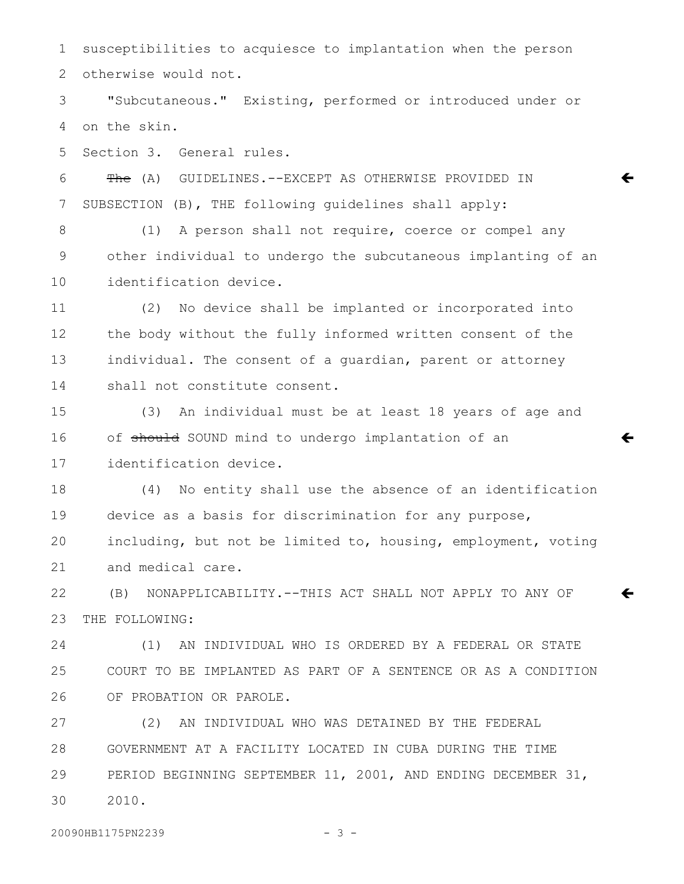susceptibilities to acquiesce to implantation when the person otherwise would not. 1 2

"Subcutaneous." Existing, performed or introduced under or on the skin. 3 4

Section 3. General rules. 5

The (A) GUIDELINES.--EXCEPT AS OTHERWISE PROVIDED IN SUBSECTION (B), THE following guidelines shall apply: 6 7

(1) A person shall not require, coerce or compel any other individual to undergo the subcutaneous implanting of an identification device. 8 9 10

 $\leftarrow$ 

 $\leftarrow$ 

 $\leftarrow$ 

(2) No device shall be implanted or incorporated into the body without the fully informed written consent of the individual. The consent of a guardian, parent or attorney shall not constitute consent. 11 12 13 14

(3) An individual must be at least 18 years of age and of should SOUND mind to undergo implantation of an identification device. 15 16 17

(4) No entity shall use the absence of an identification device as a basis for discrimination for any purpose, including, but not be limited to, housing, employment, voting and medical care. 18 19 20 21

(B) NONAPPLICABILITY.--THIS ACT SHALL NOT APPLY TO ANY OF THE FOLLOWING: 22 23

(1) AN INDIVIDUAL WHO IS ORDERED BY A FEDERAL OR STATE COURT TO BE IMPLANTED AS PART OF A SENTENCE OR AS A CONDITION OF PROBATION OR PAROLE. 24 25 26

(2) AN INDIVIDUAL WHO WAS DETAINED BY THE FEDERAL GOVERNMENT AT A FACILITY LOCATED IN CUBA DURING THE TIME PERIOD BEGINNING SEPTEMBER 11, 2001, AND ENDING DECEMBER 31, 2010. 27 28 29 30

20090HB1175PN2239 - 3 -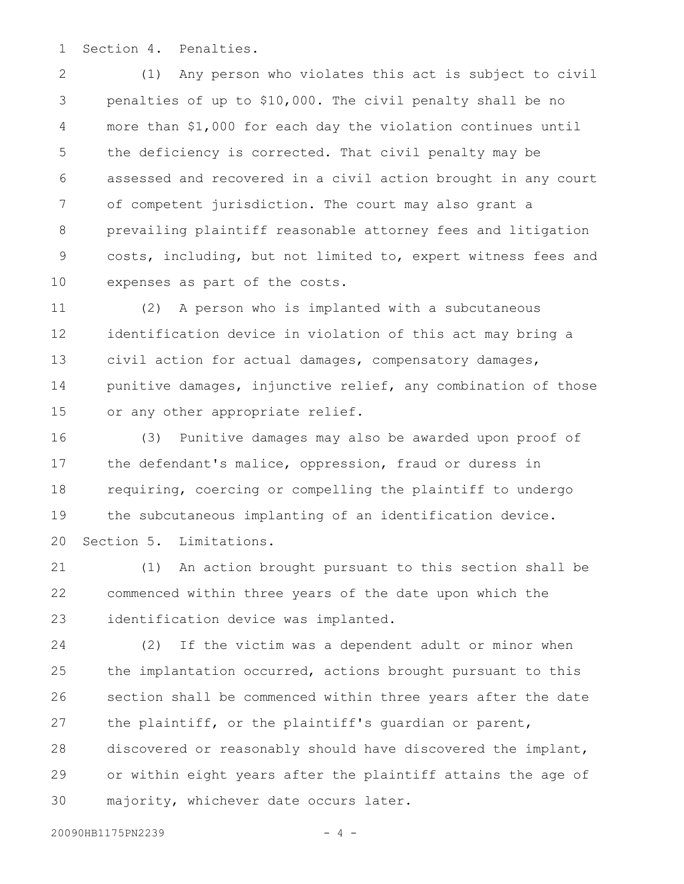Section 4. Penalties. 1

(1) Any person who violates this act is subject to civil penalties of up to \$10,000. The civil penalty shall be no more than \$1,000 for each day the violation continues until the deficiency is corrected. That civil penalty may be assessed and recovered in a civil action brought in any court of competent jurisdiction. The court may also grant a prevailing plaintiff reasonable attorney fees and litigation costs, including, but not limited to, expert witness fees and expenses as part of the costs. 2 3 4 5 6 7 8 9 10

(2) A person who is implanted with a subcutaneous identification device in violation of this act may bring a civil action for actual damages, compensatory damages, punitive damages, injunctive relief, any combination of those or any other appropriate relief. 11 12 13 14 15

(3) Punitive damages may also be awarded upon proof of the defendant's malice, oppression, fraud or duress in requiring, coercing or compelling the plaintiff to undergo the subcutaneous implanting of an identification device. Section 5. Limitations. 16 17 18 19 20

(1) An action brought pursuant to this section shall be commenced within three years of the date upon which the identification device was implanted. 21 22 23

(2) If the victim was a dependent adult or minor when the implantation occurred, actions brought pursuant to this section shall be commenced within three years after the date the plaintiff, or the plaintiff's guardian or parent, discovered or reasonably should have discovered the implant, or within eight years after the plaintiff attains the age of majority, whichever date occurs later. 24 25 26 27 28 29 30

20090HB1175PN2239 - 4 -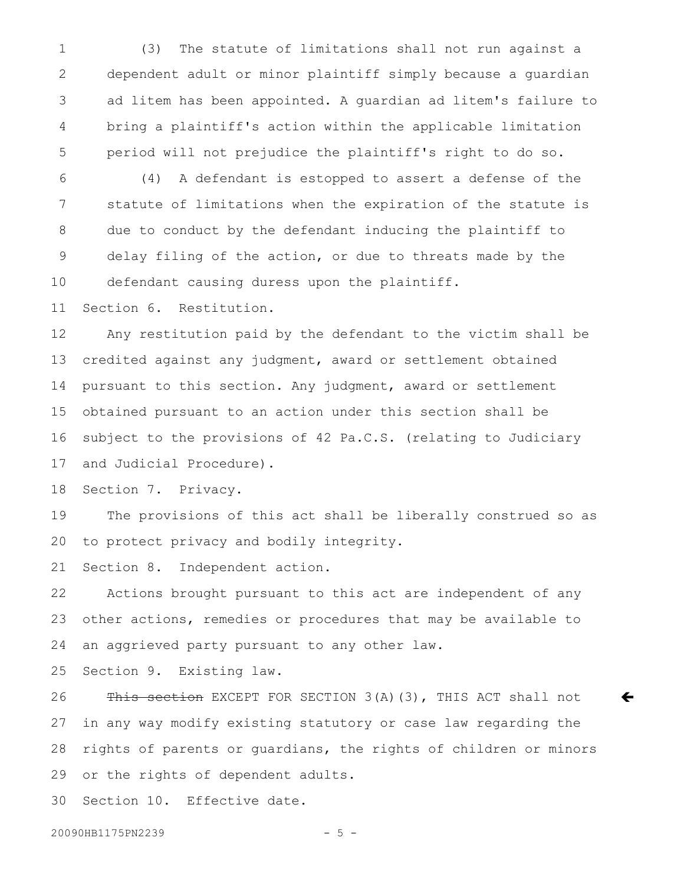(3) The statute of limitations shall not run against a dependent adult or minor plaintiff simply because a guardian ad litem has been appointed. A guardian ad litem's failure to bring a plaintiff's action within the applicable limitation period will not prejudice the plaintiff's right to do so. 1 2 3 4 5

(4) A defendant is estopped to assert a defense of the statute of limitations when the expiration of the statute is due to conduct by the defendant inducing the plaintiff to delay filing of the action, or due to threats made by the defendant causing duress upon the plaintiff. 6 7 8 9 10

Section 6. Restitution. 11

Any restitution paid by the defendant to the victim shall be credited against any judgment, award or settlement obtained pursuant to this section. Any judgment, award or settlement obtained pursuant to an action under this section shall be subject to the provisions of 42 Pa.C.S. (relating to Judiciary and Judicial Procedure). 12 13 14 15 16 17

Section 7. Privacy. 18

The provisions of this act shall be liberally construed so as to protect privacy and bodily integrity. 19 20

Section 8. Independent action. 21

Actions brought pursuant to this act are independent of any other actions, remedies or procedures that may be available to an aggrieved party pursuant to any other law. 22 23 24

Section 9. Existing law. 25

This section EXCEPT FOR SECTION 3(A)(3), THIS ACT shall not in any way modify existing statutory or case law regarding the rights of parents or guardians, the rights of children or minors or the rights of dependent adults. 26 27 28 29

 $\bm{\leftarrow}$ 

Section 10. Effective date. 30

20090HB1175PN2239 - 5 -